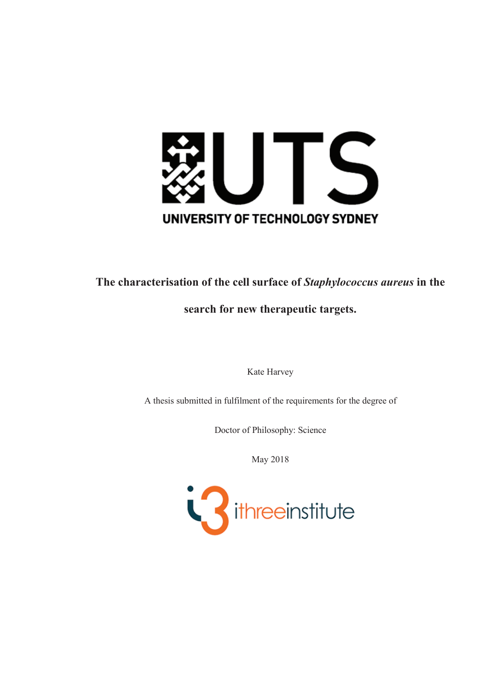

# **The characterisation of the cell surface of** *Staphylococcus aureus* **in the**

# **search for new therapeutic targets.**

Kate Harvey

A thesis submitted in fulfilment of the requirements for the degree of

Doctor of Philosophy: Science

May 2018

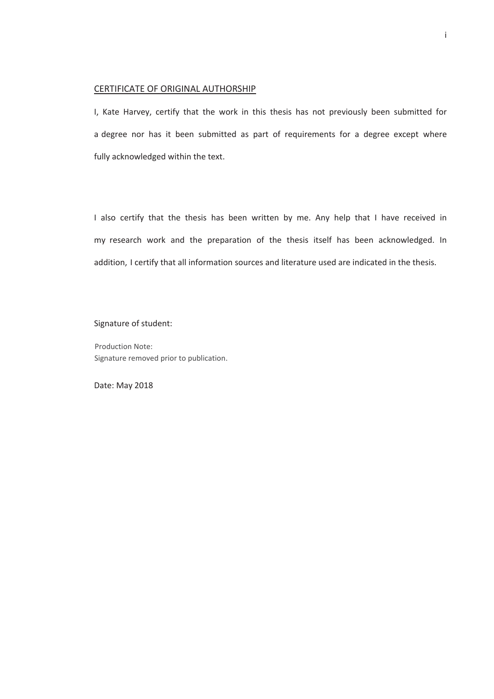#### CERTIFICATE OF ORIGINAL AUTHORSHIP

I, Kate Harvey, certify that the work in this thesis has not previously been submitted for a degree nor has it been submitted as part of requirements for a degree except where fully acknowledged within the text.

I also certify that the thesis has been written by me. Any help that I have received in my research work and the preparation of the thesis itself has been acknowledged. In addition, I certify that all information sources and literature used are indicated in the thesis.

#### Signature of student:

Production Note: Signature removed prior to publication.

Date: May 2018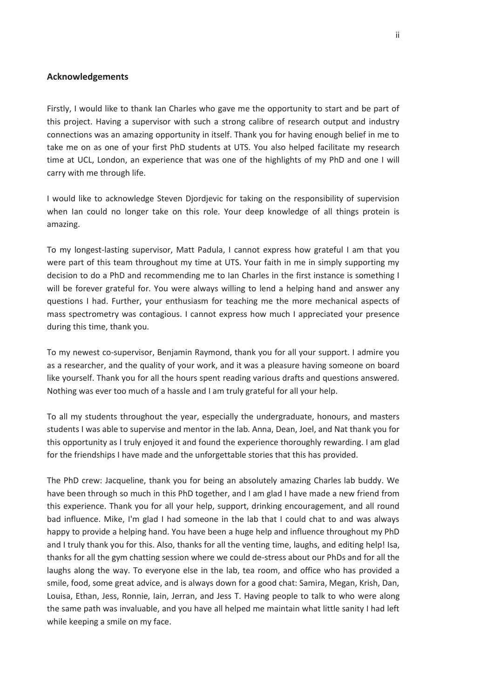#### **Acknowledgements**

Firstly, I would like to thank Ian Charles who gave me the opportunity to start and be part of this project. Having a supervisor with such a strong calibre of research output and industry connections was an amazing opportunity in itself. Thank you for having enough belief in me to take me on as one of your first PhD students at UTS. You also helped facilitate my research time at UCL, London, an experience that was one of the highlights of my PhD and one I will carry with me through life.

I would like to acknowledge Steven Djordjevic for taking on the responsibility of supervision when Ian could no longer take on this role. Your deep knowledge of all things protein is amazing.

To my longest-lasting supervisor, Matt Padula, I cannot express how grateful I am that you were part of this team throughout my time at UTS. Your faith in me in simply supporting my decision to do a PhD and recommending me to Ian Charles in the first instance is something I will be forever grateful for. You were always willing to lend a helping hand and answer any questions I had. Further, your enthusiasm for teaching me the more mechanical aspects of mass spectrometry was contagious. I cannot express how much I appreciated your presence during this time, thank you.

To my newest co-supervisor, Benjamin Raymond, thank you for all your support. I admire you as a researcher, and the quality of your work, and it was a pleasure having someone on board like yourself. Thank you for all the hours spent reading various drafts and questions answered. Nothing was ever too much of a hassle and I am truly grateful for all your help.

To all my students throughout the year, especially the undergraduate, honours, and masters students I was able to supervise and mentor in the lab. Anna, Dean, Joel, and Nat thank you for this opportunity as I truly enjoyed it and found the experience thoroughly rewarding. I am glad for the friendships I have made and the unforgettable stories that this has provided.

The PhD crew: Jacqueline, thank you for being an absolutely amazing Charles lab buddy. We have been through so much in this PhD together, and I am glad I have made a new friend from this experience. Thank you for all your help, support, drinking encouragement, and all round bad influence. Mike, I'm glad I had someone in the lab that I could chat to and was always happy to provide a helping hand. You have been a huge help and influence throughout my PhD and I truly thank you for this. Also, thanks for all the venting time, laughs, and editing help! Isa, thanks for all the gym chatting session where we could de-stress about our PhDs and for all the laughs along the way. To everyone else in the lab, tea room, and office who has provided a smile, food, some great advice, and is always down for a good chat: Samira, Megan, Krish, Dan, Louisa, Ethan, Jess, Ronnie, Iain, Jerran, and Jess T. Having people to talk to who were along the same path was invaluable, and you have all helped me maintain what little sanity I had left while keeping a smile on my face.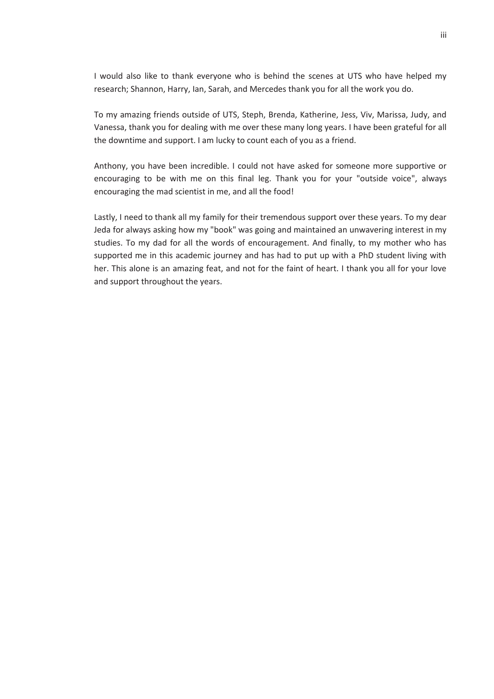I would also like to thank everyone who is behind the scenes at UTS who have helped my research; Shannon, Harry, Ian, Sarah, and Mercedes thank you for all the work you do.

To my amazing friends outside of UTS, Steph, Brenda, Katherine, Jess, Viv, Marissa, Judy, and Vanessa, thank you for dealing with me over these many long years. I have been grateful for all the downtime and support. I am lucky to count each of you as a friend.

Anthony, you have been incredible. I could not have asked for someone more supportive or encouraging to be with me on this final leg. Thank you for your "outside voice", always encouraging the mad scientist in me, and all the food!

Lastly, I need to thank all my family for their tremendous support over these years. To my dear Jeda for always asking how my "book" was going and maintained an unwavering interest in my studies. To my dad for all the words of encouragement. And finally, to my mother who has supported me in this academic journey and has had to put up with a PhD student living with her. This alone is an amazing feat, and not for the faint of heart. I thank you all for your love and support throughout the years.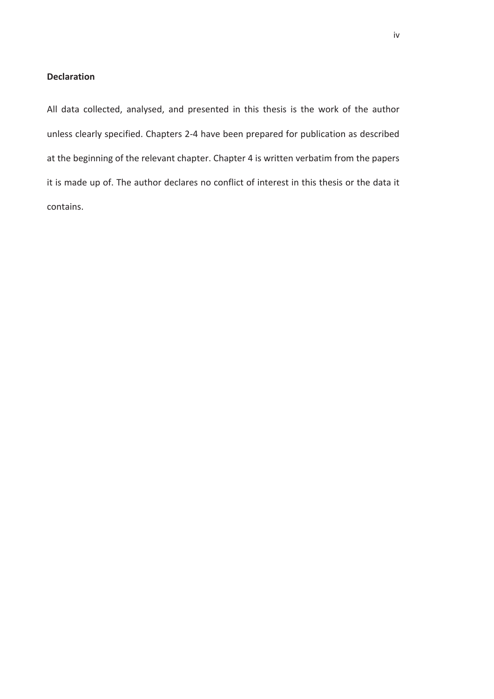#### **Declaration**

All data collected, analysed, and presented in this thesis is the work of the author unless clearly specified. Chapters 2-4 have been prepared for publication as described at the beginning of the relevant chapter. Chapter 4 is written verbatim from the papers it is made up of. The author declares no conflict of interest in this thesis or the data it contains.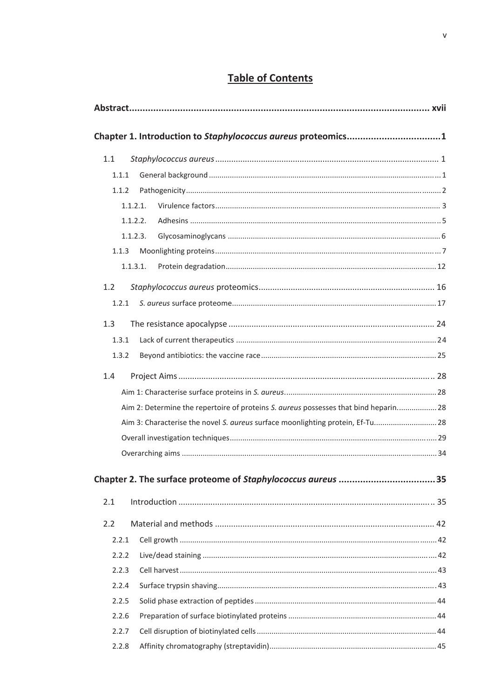# **Table of Contents**

|       | Chapter 1. Introduction to Staphylococcus aureus proteomics1                         |  |
|-------|--------------------------------------------------------------------------------------|--|
| 1.1   |                                                                                      |  |
| 1.1.1 |                                                                                      |  |
| 1.1.2 |                                                                                      |  |
|       | 1.1.2.1.                                                                             |  |
|       | 1.1.2.2.                                                                             |  |
|       | 1.1.2.3.                                                                             |  |
| 1.1.3 |                                                                                      |  |
|       | 1.1.3.1.                                                                             |  |
| 1.2   |                                                                                      |  |
| 1.2.1 |                                                                                      |  |
| 1.3   |                                                                                      |  |
| 1.3.1 |                                                                                      |  |
| 1.3.2 |                                                                                      |  |
| 1.4   |                                                                                      |  |
|       |                                                                                      |  |
|       | Aim 2: Determine the repertoire of proteins S. aureus possesses that bind heparin 28 |  |
|       | Aim 3: Characterise the novel S. aureus surface moonlighting protein, Ef-Tu 28       |  |
|       |                                                                                      |  |
|       |                                                                                      |  |
|       |                                                                                      |  |
| 2.1   |                                                                                      |  |
|       |                                                                                      |  |
| 2.2   |                                                                                      |  |
| 2.2.1 |                                                                                      |  |
| 2.2.2 |                                                                                      |  |
| 2.2.3 |                                                                                      |  |
| 2.2.4 |                                                                                      |  |
| 2.2.5 |                                                                                      |  |
| 2.2.6 |                                                                                      |  |
| 2.2.7 |                                                                                      |  |
| 2.2.8 |                                                                                      |  |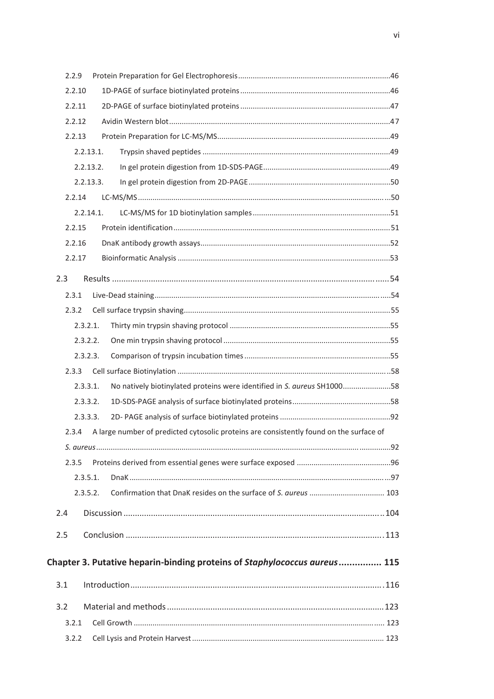| 2.2.9                                                                                            |  |
|--------------------------------------------------------------------------------------------------|--|
| 2.2.10                                                                                           |  |
| 2.2.11                                                                                           |  |
| 2.2.12                                                                                           |  |
| 2.2.13                                                                                           |  |
| 2.2.13.1.                                                                                        |  |
| 2.2.13.2.                                                                                        |  |
| 2.2.13.3.                                                                                        |  |
| 2.2.14                                                                                           |  |
| 2.2.14.1.                                                                                        |  |
| 2.2.15                                                                                           |  |
| 2.2.16                                                                                           |  |
| 2.2.17                                                                                           |  |
| 2.3                                                                                              |  |
| 2.3.1                                                                                            |  |
| 2.3.2                                                                                            |  |
| 2.3.2.1.                                                                                         |  |
| 2.3.2.2.                                                                                         |  |
| 2.3.2.3.                                                                                         |  |
| 2.3.3                                                                                            |  |
| 2.3.3.1.<br>No natively biotinylated proteins were identified in S. aureus SH100058              |  |
| 2.3.3.2.                                                                                         |  |
| 2.3.3.3.                                                                                         |  |
| A large number of predicted cytosolic proteins are consistently found on the surface of<br>2.3.4 |  |
|                                                                                                  |  |
| 2.3.5                                                                                            |  |
| 2.3.5.1.                                                                                         |  |
| 2.3.5.2.                                                                                         |  |
| 2.4                                                                                              |  |
| 2.5                                                                                              |  |
|                                                                                                  |  |
| Chapter 3. Putative heparin-binding proteins of Staphylococcus aureus 115                        |  |
| 3.1                                                                                              |  |
| 3.2                                                                                              |  |
| 3.2.1                                                                                            |  |
| 3.2.2                                                                                            |  |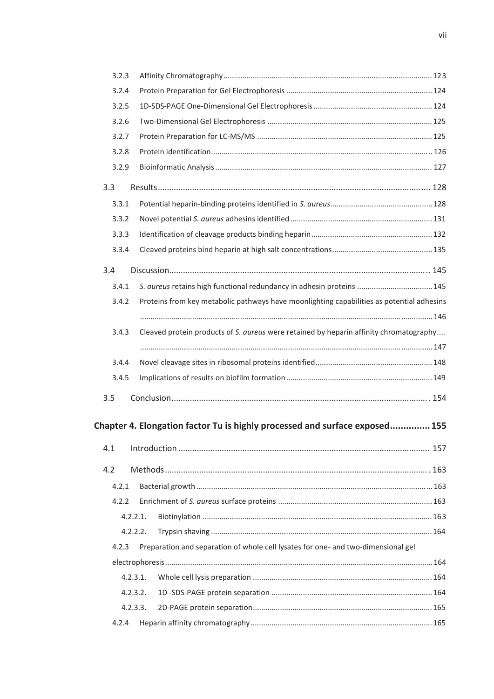| 3.2.3 |          |                                                                                           |  |
|-------|----------|-------------------------------------------------------------------------------------------|--|
| 3.2.4 |          |                                                                                           |  |
| 3.2.5 |          |                                                                                           |  |
| 3.2.6 |          |                                                                                           |  |
| 3.2.7 |          |                                                                                           |  |
| 3.2.8 |          |                                                                                           |  |
| 3.2.9 |          |                                                                                           |  |
| 3.3   |          |                                                                                           |  |
| 3.3.1 |          |                                                                                           |  |
| 3.3.2 |          |                                                                                           |  |
| 3.3.3 |          |                                                                                           |  |
| 3.3.4 |          |                                                                                           |  |
| 3.4   |          |                                                                                           |  |
| 3.4.1 |          | S. aureus retains high functional redundancy in adhesin proteins  145                     |  |
| 3.4.2 |          | Proteins from key metabolic pathways have moonlighting capabilities as potential adhesins |  |
|       |          |                                                                                           |  |
| 3.4.3 |          | Cleaved protein products of S. aureus were retained by heparin affinity chromatography    |  |
|       |          |                                                                                           |  |
| 3.4.4 |          |                                                                                           |  |
| 3.4.5 |          |                                                                                           |  |
| 3.5   |          |                                                                                           |  |
|       |          |                                                                                           |  |
|       |          | Chapter 4. Elongation factor Tu is highly processed and surface exposed 155               |  |
| 4.1   |          |                                                                                           |  |
|       |          |                                                                                           |  |
| 4.2   |          |                                                                                           |  |
| 4.2.1 |          |                                                                                           |  |
| 4.2.2 |          |                                                                                           |  |
|       | 4.2.2.1. |                                                                                           |  |
|       | 4.2.2.2. |                                                                                           |  |
| 4.2.3 |          | Preparation and separation of whole cell lysates for one- and two-dimensional gel         |  |
|       |          |                                                                                           |  |
|       | 4.2.3.1. |                                                                                           |  |
|       | 4.2.3.2. |                                                                                           |  |
|       | 4.2.3.3. |                                                                                           |  |
| 4.2.4 |          |                                                                                           |  |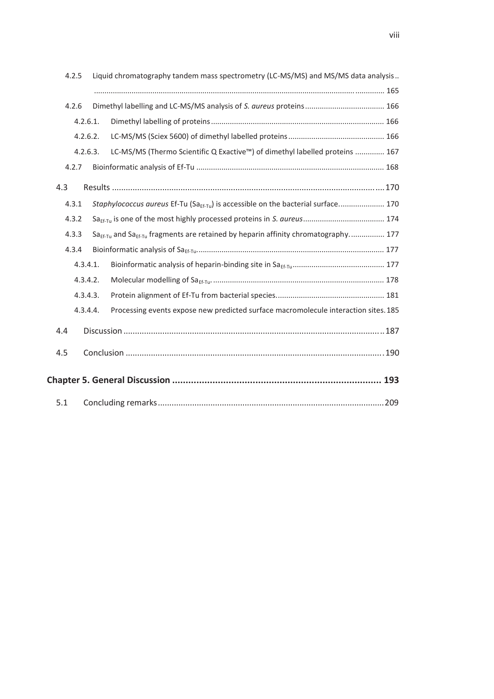| 4.2.5 |          | Liquid chromatography tandem mass spectrometry (LC-MS/MS) and MS/MS data analysis             |  |
|-------|----------|-----------------------------------------------------------------------------------------------|--|
|       |          |                                                                                               |  |
| 4.2.6 |          |                                                                                               |  |
|       | 4.2.6.1. |                                                                                               |  |
|       | 4.2.6.2. |                                                                                               |  |
|       | 4.2.6.3. | LC-MS/MS (Thermo Scientific Q Exactive™) of dimethyl labelled proteins  167                   |  |
| 4.2.7 |          |                                                                                               |  |
| 4.3   |          |                                                                                               |  |
| 4.3.1 |          | Staphylococcus aureus Ef-Tu (Sa <sub>Ef-Tu</sub> ) is accessible on the bacterial surface 170 |  |
| 4.3.2 |          |                                                                                               |  |
| 4.3.3 |          | $Sa_{Ff-Tu}$ and $Sa_{Ff-Tu}$ fragments are retained by heparin affinity chromatography 177   |  |
| 4.3.4 |          |                                                                                               |  |
|       | 4.3.4.1. |                                                                                               |  |
|       | 4.3.4.2. |                                                                                               |  |
|       | 4.3.4.3. |                                                                                               |  |
|       | 4.3.4.4. | Processing events expose new predicted surface macromolecule interaction sites. 185           |  |
| 4.4   |          |                                                                                               |  |
| 4.5   |          |                                                                                               |  |
|       |          |                                                                                               |  |
| 5.1   |          |                                                                                               |  |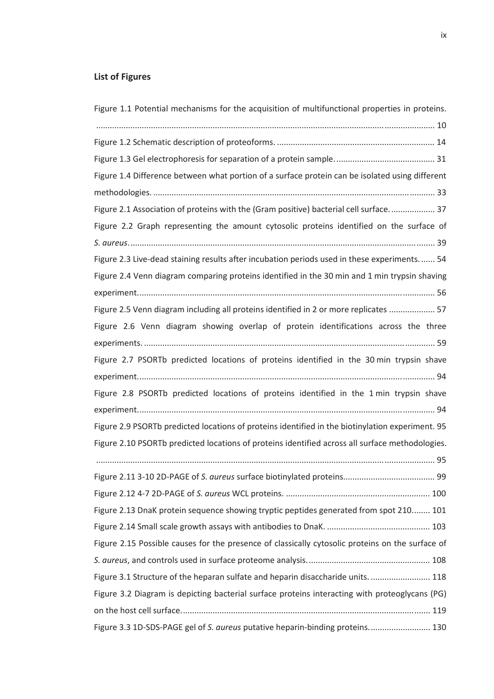## **List of Figures**

| Figure 1.1 Potential mechanisms for the acquisition of multifunctional properties in proteins.   |
|--------------------------------------------------------------------------------------------------|
|                                                                                                  |
|                                                                                                  |
|                                                                                                  |
| Figure 1.4 Difference between what portion of a surface protein can be isolated using different  |
|                                                                                                  |
| Figure 2.1 Association of proteins with the (Gram positive) bacterial cell surface 37            |
| Figure 2.2 Graph representing the amount cytosolic proteins identified on the surface of         |
|                                                                                                  |
| Figure 2.3 Live-dead staining results after incubation periods used in these experiments 54      |
| Figure 2.4 Venn diagram comparing proteins identified in the 30 min and 1 min trypsin shaving    |
|                                                                                                  |
| Figure 2.5 Venn diagram including all proteins identified in 2 or more replicates  57            |
| Figure 2.6 Venn diagram showing overlap of protein identifications across the three              |
|                                                                                                  |
| Figure 2.7 PSORTb predicted locations of proteins identified in the 30 min trypsin shave         |
|                                                                                                  |
| Figure 2.8 PSORTb predicted locations of proteins identified in the 1 min trypsin shave          |
|                                                                                                  |
| Figure 2.9 PSORTb predicted locations of proteins identified in the biotinylation experiment. 95 |
| Figure 2.10 PSORTb predicted locations of proteins identified across all surface methodologies.  |
|                                                                                                  |
|                                                                                                  |
|                                                                                                  |
| Figure 2.13 DnaK protein sequence showing tryptic peptides generated from spot 210 101           |
|                                                                                                  |
| Figure 2.15 Possible causes for the presence of classically cytosolic proteins on the surface of |
|                                                                                                  |
| Figure 3.1 Structure of the heparan sulfate and heparin disaccharide units 118                   |
| Figure 3.2 Diagram is depicting bacterial surface proteins interacting with proteoglycans (PG)   |
|                                                                                                  |
| Figure 3.3 1D-SDS-PAGE gel of S. aureus putative heparin-binding proteins 130                    |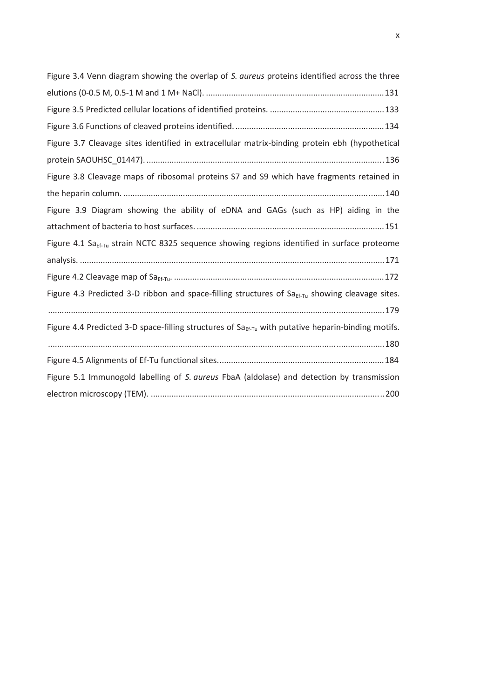| Figure 3.4 Venn diagram showing the overlap of S. aureus proteins identified across the three                  |
|----------------------------------------------------------------------------------------------------------------|
|                                                                                                                |
|                                                                                                                |
|                                                                                                                |
| Figure 3.7 Cleavage sites identified in extracellular matrix-binding protein ebh (hypothetical                 |
|                                                                                                                |
| Figure 3.8 Cleavage maps of ribosomal proteins S7 and S9 which have fragments retained in                      |
|                                                                                                                |
| Figure 3.9 Diagram showing the ability of eDNA and GAGs (such as HP) aiding in the                             |
|                                                                                                                |
| Figure 4.1 Sa <sub>Ef-Tu</sub> strain NCTC 8325 sequence showing regions identified in surface proteome        |
|                                                                                                                |
|                                                                                                                |
| Figure 4.3 Predicted 3-D ribbon and space-filling structures of $Sa_{Ef-Tu}$ showing cleavage sites.           |
|                                                                                                                |
| Figure 4.4 Predicted 3-D space-filling structures of Sa <sub>Ef-Tu</sub> with putative heparin-binding motifs. |
|                                                                                                                |
|                                                                                                                |
| Figure 5.1 Immunogold labelling of S. aureus FbaA (aldolase) and detection by transmission                     |
|                                                                                                                |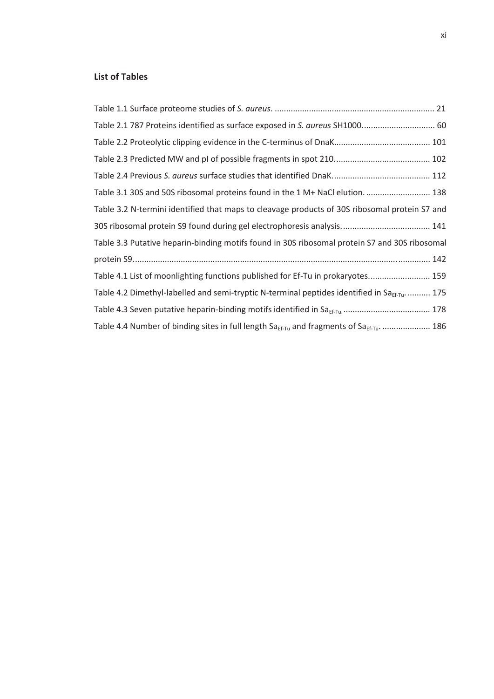### **List of Tables**

| Table 2.1 787 Proteins identified as surface exposed in S. aureus SH1000 60                            |  |
|--------------------------------------------------------------------------------------------------------|--|
|                                                                                                        |  |
|                                                                                                        |  |
|                                                                                                        |  |
| Table 3.1 30S and 50S ribosomal proteins found in the 1 M+ NaCl elution 138                            |  |
| Table 3.2 N-termini identified that maps to cleavage products of 30S ribosomal protein S7 and          |  |
|                                                                                                        |  |
| Table 3.3 Putative heparin-binding motifs found in 30S ribosomal protein S7 and 30S ribosomal          |  |
|                                                                                                        |  |
| Table 4.1 List of moonlighting functions published for Ef-Tu in prokaryotes 159                        |  |
| Table 4.2 Dimethyl-labelled and semi-tryptic N-terminal peptides identified in Sa <sub>EE-Tu</sub> 175 |  |
|                                                                                                        |  |
| Table 4.4 Number of binding sites in full length Sa $_{Ef-Tu}$ and fragments of Sa $_{Ef-Tu}$ 186      |  |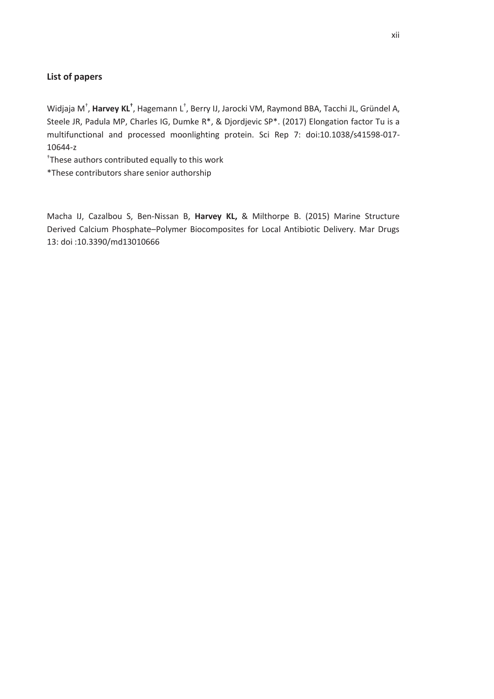### **List of papers**

Widjaja M<sup>†</sup>, Harvey KL<sup>†</sup>, Hagemann L<sup>†</sup>, Berry IJ, Jarocki VM, Raymond BBA, Tacchi JL, Gründel A, Steele JR, Padula MP, Charles IG, Dumke R\*, & Djordjevic SP\*. (2017) Elongation factor Tu is a multifunctional and processed moonlighting protein. Sci Rep 7: doi:10.1038/s41598-017- 10644-z

† These authors contributed equally to this work

\*These contributors share senior authorship

Macha IJ, Cazalbou S, Ben-Nissan B, **Harvey KL,** & Milthorpe B. (2015) Marine Structure Derived Calcium Phosphate–Polymer Biocomposites for Local Antibiotic Delivery. Mar Drugs 13: doi :10.3390/md13010666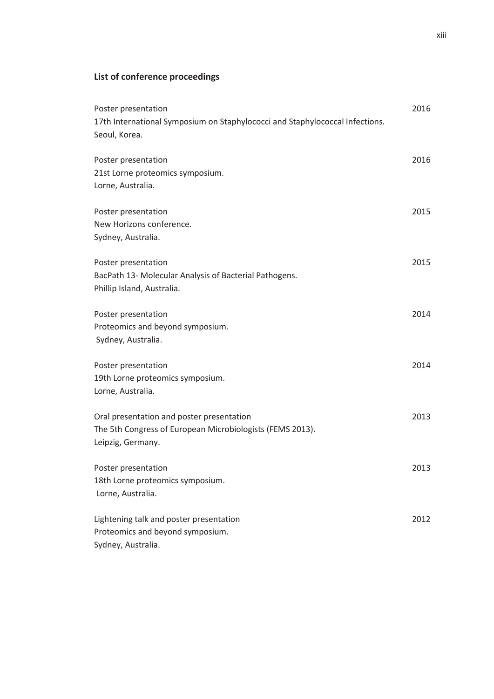## **List of conference proceedings**

| Poster presentation                                                          | 2016 |
|------------------------------------------------------------------------------|------|
| 17th International Symposium on Staphylococci and Staphylococcal Infections. |      |
| Seoul, Korea.                                                                |      |
| Poster presentation                                                          | 2016 |
| 21st Lorne proteomics symposium.                                             |      |
| Lorne, Australia.                                                            |      |
| Poster presentation                                                          | 2015 |
| New Horizons conference.                                                     |      |
| Sydney, Australia.                                                           |      |
| Poster presentation                                                          | 2015 |
| BacPath 13- Molecular Analysis of Bacterial Pathogens.                       |      |
| Phillip Island, Australia.                                                   |      |
| Poster presentation                                                          | 2014 |
| Proteomics and beyond symposium.                                             |      |
| Sydney, Australia.                                                           |      |
| Poster presentation                                                          | 2014 |
| 19th Lorne proteomics symposium.                                             |      |
| Lorne, Australia.                                                            |      |
| Oral presentation and poster presentation                                    | 2013 |
| The 5th Congress of European Microbiologists (FEMS 2013).                    |      |
| Leipzig, Germany.                                                            |      |
| Poster presentation                                                          | 2013 |
| 18th Lorne proteomics symposium.                                             |      |
| Lorne, Australia.                                                            |      |
| Lightening talk and poster presentation                                      | 2012 |
| Proteomics and beyond symposium.                                             |      |
| Sydney, Australia.                                                           |      |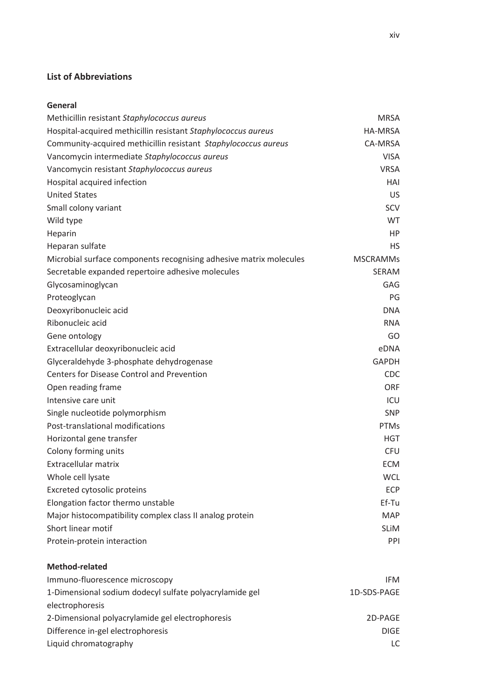### **List of Abbreviations**

### **General**

| Methicillin resistant Staphylococcus aureus                        | <b>MRSA</b>     |
|--------------------------------------------------------------------|-----------------|
| Hospital-acquired methicillin resistant Staphylococcus aureus      | HA-MRSA         |
| Community-acquired methicillin resistant Staphylococcus aureus     | CA-MRSA         |
| Vancomycin intermediate Staphylococcus aureus                      | <b>VISA</b>     |
| Vancomycin resistant Staphylococcus aureus                         | <b>VRSA</b>     |
| Hospital acquired infection                                        | HAI             |
| <b>United States</b>                                               | US              |
| Small colony variant                                               | SCV             |
| Wild type                                                          | <b>WT</b>       |
| Heparin                                                            | <b>HP</b>       |
| Heparan sulfate                                                    | <b>HS</b>       |
| Microbial surface components recognising adhesive matrix molecules | <b>MSCRAMMs</b> |
| Secretable expanded repertoire adhesive molecules                  | SERAM           |
| Glycosaminoglycan                                                  | <b>GAG</b>      |
| Proteoglycan                                                       | PG              |
| Deoxyribonucleic acid                                              | <b>DNA</b>      |
| Ribonucleic acid                                                   | <b>RNA</b>      |
| Gene ontology                                                      | GO              |
| Extracellular deoxyribonucleic acid                                | eDNA            |
| Glyceraldehyde 3-phosphate dehydrogenase                           | <b>GAPDH</b>    |
| <b>Centers for Disease Control and Prevention</b>                  | <b>CDC</b>      |
| Open reading frame                                                 | <b>ORF</b>      |
| Intensive care unit                                                | ICU             |
| Single nucleotide polymorphism                                     | <b>SNP</b>      |
| Post-translational modifications                                   | PTMs            |
| Horizontal gene transfer                                           | <b>HGT</b>      |
| Colony forming units                                               | <b>CFU</b>      |
| Extracellular matrix                                               | <b>ECM</b>      |
| Whole cell lysate                                                  | <b>WCL</b>      |
| Excreted cytosolic proteins                                        | <b>ECP</b>      |
| Elongation factor thermo unstable                                  | Ef-Tu           |
| Major histocompatibility complex class II analog protein           | <b>MAP</b>      |
| Short linear motif                                                 | <b>SLIM</b>     |
| Protein-protein interaction                                        | PPI             |
|                                                                    |                 |
| <b>Method-related</b>                                              |                 |
| Immuno-fluorescence microscopy                                     | <b>IFM</b>      |
| 1-Dimensional sodium dodecyl sulfate polyacrylamide gel            | 1D-SDS-PAGE     |
| electrophoresis                                                    |                 |
| 2-Dimensional polyacrylamide gel electrophoresis                   | 2D-PAGE         |
| Difference in-gel electrophoresis                                  | <b>DIGE</b>     |
| Liquid chromatography                                              | LC              |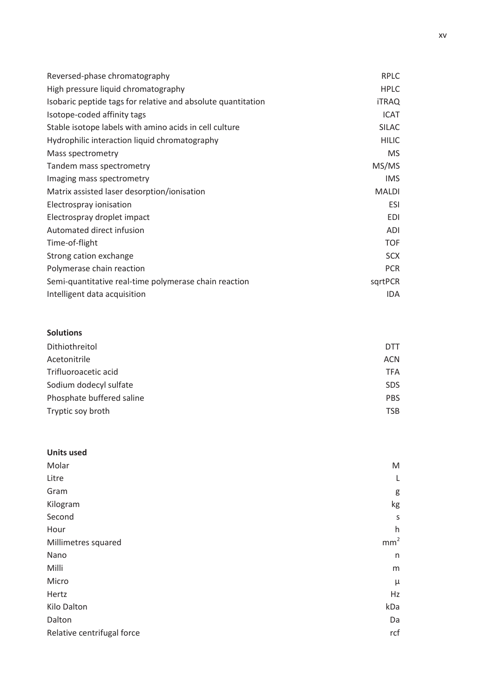| Reversed-phase chromatography                                | <b>RPLC</b>  |
|--------------------------------------------------------------|--------------|
| High pressure liquid chromatography                          | <b>HPLC</b>  |
| Isobaric peptide tags for relative and absolute quantitation | <b>iTRAQ</b> |
| Isotope-coded affinity tags                                  | <b>ICAT</b>  |
| Stable isotope labels with amino acids in cell culture       | <b>SILAC</b> |
| Hydrophilic interaction liquid chromatography                | <b>HILIC</b> |
| Mass spectrometry                                            | MS.          |
| Tandem mass spectrometry                                     | MS/MS        |
| Imaging mass spectrometry                                    | <b>IMS</b>   |
| Matrix assisted laser desorption/ionisation                  | <b>MALDI</b> |
| Electrospray ionisation                                      | <b>ESI</b>   |
| Electrospray droplet impact                                  | <b>EDI</b>   |
| Automated direct infusion                                    | <b>ADI</b>   |
| Time-of-flight                                               | <b>TOF</b>   |
| Strong cation exchange                                       | <b>SCX</b>   |
| Polymerase chain reaction                                    | <b>PCR</b>   |
| Semi-quantitative real-time polymerase chain reaction        | sqrtPCR      |
| Intelligent data acquisition                                 | IDA.         |

## **Solutions**

| Acetonitrile<br>ACN.      |      |
|---------------------------|------|
| Trifluoroacetic acid      | TFA. |
| Sodium dodecyl sulfate    | SDS. |
| Phosphate buffered saline | PBS. |
| Tryptic soy broth         | TSB  |

| <b>Units used</b>          |                 |
|----------------------------|-----------------|
| Molar                      | ${\sf M}$       |
| Litre                      | L               |
| Gram                       | g               |
| Kilogram                   | kg              |
| Second                     | S               |
| Hour                       | h               |
| Millimetres squared        | mm <sup>2</sup> |
| Nano                       | n               |
| Milli                      | m               |
| Micro                      | μ               |
| Hertz                      | Hz              |
| Kilo Dalton                | kDa             |
| Dalton                     | Da              |
| Relative centrifugal force | rcf             |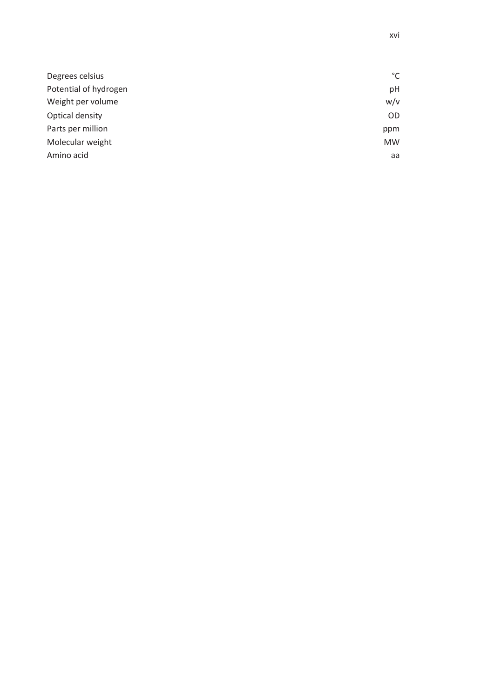| Degrees celsius       | °C        |
|-----------------------|-----------|
| Potential of hydrogen | рH        |
| Weight per volume     | w/v       |
| Optical density       | <b>OD</b> |
| Parts per million     | ppm       |
| Molecular weight      | <b>MW</b> |
| Amino acid            | aa        |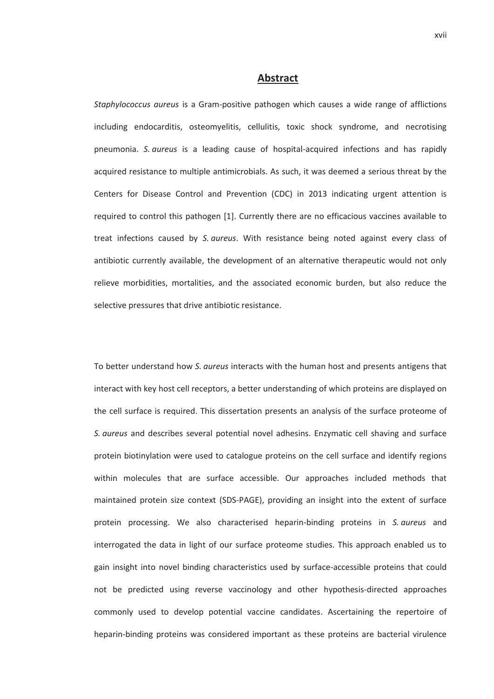#### **Abstract**

*Staphylococcus aureus* is a Gram-positive pathogen which causes a wide range of afflictions including endocarditis, osteomyelitis, cellulitis, toxic shock syndrome, and necrotising pneumonia. *S. aureus* is a leading cause of hospital-acquired infections and has rapidly acquired resistance to multiple antimicrobials. As such, it was deemed a serious threat by the Centers for Disease Control and Prevention (CDC) in 2013 indicating urgent attention is required to control this pathogen [1]. Currently there are no efficacious vaccines available to treat infections caused by *S. aureus*. With resistance being noted against every class of antibiotic currently available, the development of an alternative therapeutic would not only relieve morbidities, mortalities, and the associated economic burden, but also reduce the selective pressures that drive antibiotic resistance.

To better understand how *S. aureus* interacts with the human host and presents antigens that interact with key host cell receptors, a better understanding of which proteins are displayed on the cell surface is required. This dissertation presents an analysis of the surface proteome of *S. aureus* and describes several potential novel adhesins. Enzymatic cell shaving and surface protein biotinylation were used to catalogue proteins on the cell surface and identify regions within molecules that are surface accessible. Our approaches included methods that maintained protein size context (SDS-PAGE), providing an insight into the extent of surface protein processing. We also characterised heparin-binding proteins in *S. aureus* and interrogated the data in light of our surface proteome studies. This approach enabled us to gain insight into novel binding characteristics used by surface-accessible proteins that could not be predicted using reverse vaccinology and other hypothesis-directed approaches commonly used to develop potential vaccine candidates. Ascertaining the repertoire of heparin-binding proteins was considered important as these proteins are bacterial virulence